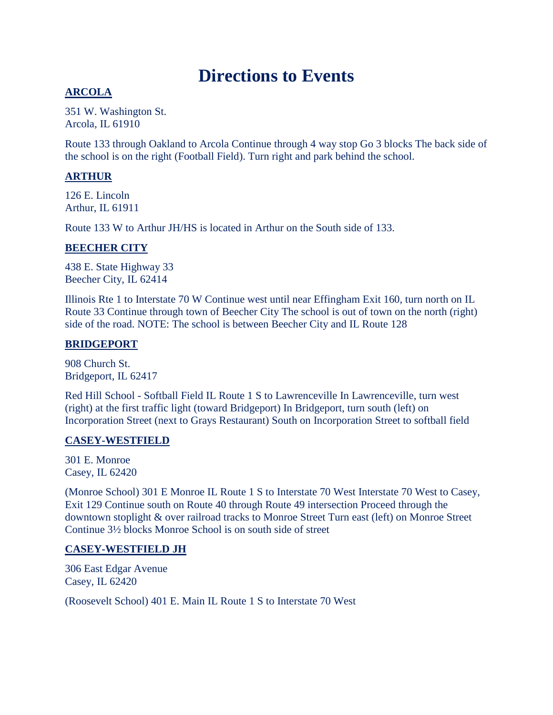# **Directions to Events**

# **ARCOLA**

351 W. Washington St. Arcola, IL 61910

Route 133 through Oakland to Arcola Continue through 4 way stop Go 3 blocks The back side of the school is on the right (Football Field). Turn right and park behind the school.

# **ARTHUR**

126 E. Lincoln Arthur, IL 61911

Route 133 W to Arthur JH/HS is located in Arthur on the South side of 133.

# **BEECHER CITY**

438 E. State Highway 33 Beecher City, IL 62414

Illinois Rte 1 to Interstate 70 W Continue west until near Effingham Exit 160, turn north on IL Route 33 Continue through town of Beecher City The school is out of town on the north (right) side of the road. NOTE: The school is between Beecher City and IL Route 128

# **BRIDGEPORT**

908 Church St. Bridgeport, IL 62417

Red Hill School - Softball Field IL Route 1 S to Lawrenceville In Lawrenceville, turn west (right) at the first traffic light (toward Bridgeport) In Bridgeport, turn south (left) on Incorporation Street (next to Grays Restaurant) South on Incorporation Street to softball field

# **CASEY-WESTFIELD**

301 E. Monroe Casey, IL 62420

(Monroe School) 301 E Monroe IL Route 1 S to Interstate 70 West Interstate 70 West to Casey, Exit 129 Continue south on Route 40 through Route 49 intersection Proceed through the downtown stoplight & over railroad tracks to Monroe Street Turn east (left) on Monroe Street Continue 3½ blocks Monroe School is on south side of street

# **CASEY-WESTFIELD JH**

306 East Edgar Avenue Casey, IL 62420

(Roosevelt School) 401 E. Main IL Route 1 S to Interstate 70 West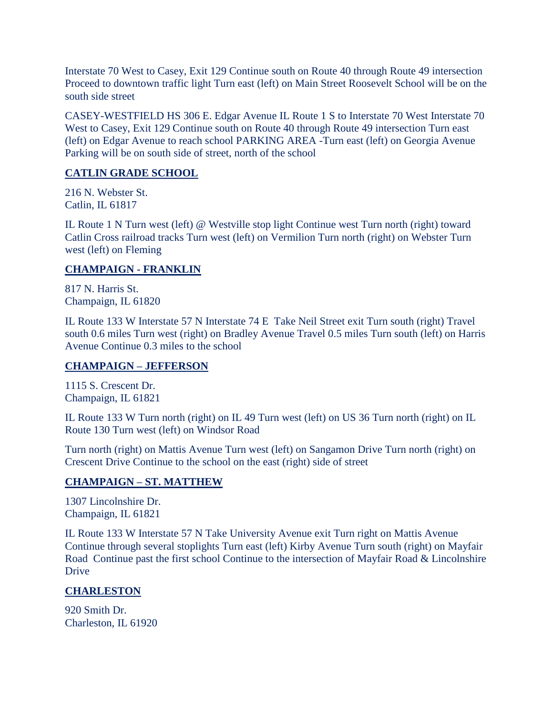Interstate 70 West to Casey, Exit 129 Continue south on Route 40 through Route 49 intersection Proceed to downtown traffic light Turn east (left) on Main Street Roosevelt School will be on the south side street

CASEY-WESTFIELD HS 306 E. Edgar Avenue IL Route 1 S to Interstate 70 West Interstate 70 West to Casey, Exit 129 Continue south on Route 40 through Route 49 intersection Turn east (left) on Edgar Avenue to reach school PARKING AREA -Turn east (left) on Georgia Avenue Parking will be on south side of street, north of the school

# **CATLIN GRADE SCHOOL**

216 N. Webster St. Catlin, IL 61817

IL Route 1 N Turn west (left) @ Westville stop light Continue west Turn north (right) toward Catlin Cross railroad tracks Turn west (left) on Vermilion Turn north (right) on Webster Turn west (left) on Fleming

## **CHAMPAIGN - FRANKLIN**

817 N. Harris St. Champaign, IL 61820

IL Route 133 W Interstate 57 N Interstate 74 E Take Neil Street exit Turn south (right) Travel south 0.6 miles Turn west (right) on Bradley Avenue Travel 0.5 miles Turn south (left) on Harris Avenue Continue 0.3 miles to the school

# **CHAMPAIGN – JEFFERSON**

1115 S. Crescent Dr. Champaign, IL 61821

IL Route 133 W Turn north (right) on IL 49 Turn west (left) on US 36 Turn north (right) on IL Route 130 Turn west (left) on Windsor Road

Turn north (right) on Mattis Avenue Turn west (left) on Sangamon Drive Turn north (right) on Crescent Drive Continue to the school on the east (right) side of street

# **CHAMPAIGN – ST. MATTHEW**

1307 Lincolnshire Dr. Champaign, IL 61821

IL Route 133 W Interstate 57 N Take University Avenue exit Turn right on Mattis Avenue Continue through several stoplights Turn east (left) Kirby Avenue Turn south (right) on Mayfair Road Continue past the first school Continue to the intersection of Mayfair Road & Lincolnshire Drive

# **CHARLESTON**

920 Smith Dr. Charleston, IL 61920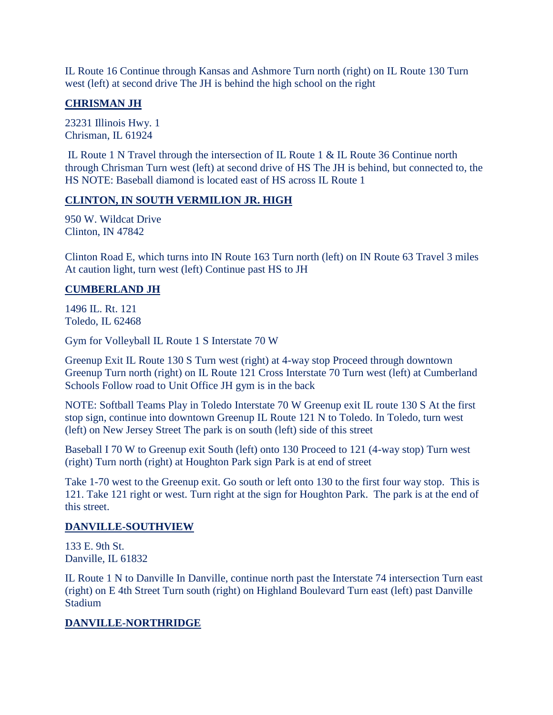IL Route 16 Continue through Kansas and Ashmore Turn north (right) on IL Route 130 Turn west (left) at second drive The JH is behind the high school on the right

# **CHRISMAN JH**

23231 Illinois Hwy. 1 Chrisman, IL 61924

IL Route 1 N Travel through the intersection of IL Route 1 & IL Route 36 Continue north through Chrisman Turn west (left) at second drive of HS The JH is behind, but connected to, the HS NOTE: Baseball diamond is located east of HS across IL Route 1

# **CLINTON, IN SOUTH VERMILION JR. HIGH**

950 W. Wildcat Drive Clinton, IN 47842

Clinton Road E, which turns into IN Route 163 Turn north (left) on IN Route 63 Travel 3 miles At caution light, turn west (left) Continue past HS to JH

# **CUMBERLAND JH**

1496 IL. Rt. 121 Toledo, IL 62468

Gym for Volleyball IL Route 1 S Interstate 70 W

Greenup Exit IL Route 130 S Turn west (right) at 4-way stop Proceed through downtown Greenup Turn north (right) on IL Route 121 Cross Interstate 70 Turn west (left) at Cumberland Schools Follow road to Unit Office JH gym is in the back

NOTE: Softball Teams Play in Toledo Interstate 70 W Greenup exit IL route 130 S At the first stop sign, continue into downtown Greenup IL Route 121 N to Toledo. In Toledo, turn west (left) on New Jersey Street The park is on south (left) side of this street

Baseball I 70 W to Greenup exit South (left) onto 130 Proceed to 121 (4-way stop) Turn west (right) Turn north (right) at Houghton Park sign Park is at end of street

Take 1-70 west to the Greenup exit. Go south or left onto 130 to the first four way stop. This is 121. Take 121 right or west. Turn right at the sign for Houghton Park. The park is at the end of this street.

#### **DANVILLE-SOUTHVIEW**

133 E. 9th St. Danville, IL 61832

IL Route 1 N to Danville In Danville, continue north past the Interstate 74 intersection Turn east (right) on E 4th Street Turn south (right) on Highland Boulevard Turn east (left) past Danville **Stadium** 

# **DANVILLE-NORTHRIDGE**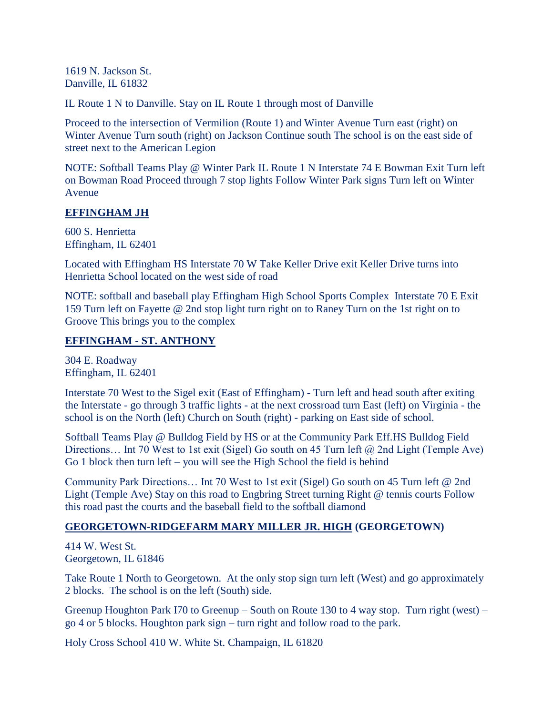1619 N. Jackson St. Danville, IL 61832

IL Route 1 N to Danville. Stay on IL Route 1 through most of Danville

Proceed to the intersection of Vermilion (Route 1) and Winter Avenue Turn east (right) on Winter Avenue Turn south (right) on Jackson Continue south The school is on the east side of street next to the American Legion

NOTE: Softball Teams Play @ Winter Park IL Route 1 N Interstate 74 E Bowman Exit Turn left on Bowman Road Proceed through 7 stop lights Follow Winter Park signs Turn left on Winter Avenue

#### **EFFINGHAM JH**

600 S. Henrietta Effingham, IL 62401

Located with Effingham HS Interstate 70 W Take Keller Drive exit Keller Drive turns into Henrietta School located on the west side of road

NOTE: softball and baseball play Effingham High School Sports Complex Interstate 70 E Exit 159 Turn left on Fayette @ 2nd stop light turn right on to Raney Turn on the 1st right on to Groove This brings you to the complex

#### **EFFINGHAM - ST. ANTHONY**

304 E. Roadway Effingham, IL 62401

Interstate 70 West to the Sigel exit (East of Effingham) - Turn left and head south after exiting the Interstate - go through 3 traffic lights - at the next crossroad turn East (left) on Virginia - the school is on the North (left) Church on South (right) - parking on East side of school.

Softball Teams Play @ Bulldog Field by HS or at the Community Park Eff.HS Bulldog Field Directions... Int 70 West to 1st exit (Sigel) Go south on 45 Turn left  $\omega$  2nd Light (Temple Ave) Go 1 block then turn left – you will see the High School the field is behind

Community Park Directions… Int 70 West to 1st exit (Sigel) Go south on 45 Turn left @ 2nd Light (Temple Ave) Stay on this road to Engbring Street turning Right @ tennis courts Follow this road past the courts and the baseball field to the softball diamond

# **GEORGETOWN-RIDGEFARM MARY MILLER JR. HIGH (GEORGETOWN)**

414 W. West St. Georgetown, IL 61846

Take Route 1 North to Georgetown. At the only stop sign turn left (West) and go approximately 2 blocks. The school is on the left (South) side.

Greenup Houghton Park I70 to Greenup – South on Route 130 to 4 way stop. Turn right (west) – go 4 or 5 blocks. Houghton park sign – turn right and follow road to the park.

Holy Cross School 410 W. White St. Champaign, IL 61820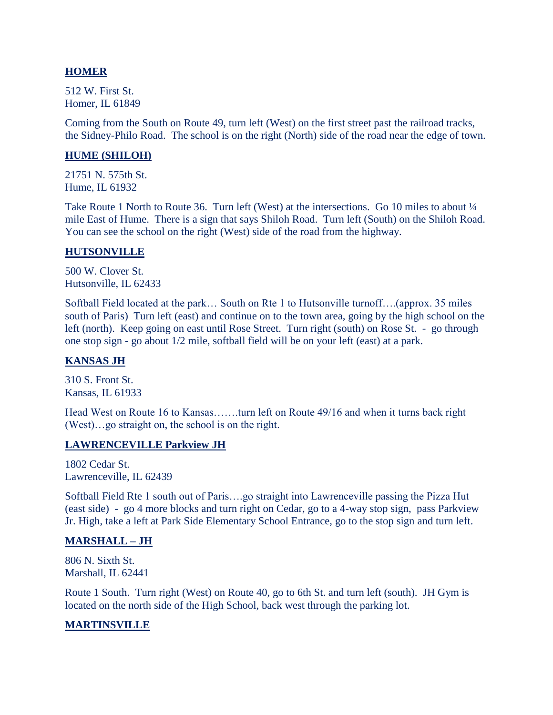#### **HOMER**

512 W. First St. Homer, IL 61849

Coming from the South on Route 49, turn left (West) on the first street past the railroad tracks, the Sidney-Philo Road. The school is on the right (North) side of the road near the edge of town.

#### **HUME (SHILOH)**

21751 N. 575th St. Hume, IL 61932

Take Route 1 North to Route 36. Turn left (West) at the intersections. Go 10 miles to about  $\frac{1}{4}$ mile East of Hume. There is a sign that says Shiloh Road. Turn left (South) on the Shiloh Road. You can see the school on the right (West) side of the road from the highway.

#### **HUTSONVILLE**

500 W. Clover St. Hutsonville, IL 62433

Softball Field located at the park… South on Rte 1 to Hutsonville turnoff….(approx. 35 miles south of Paris) Turn left (east) and continue on to the town area, going by the high school on the left (north). Keep going on east until Rose Street. Turn right (south) on Rose St. - go through one stop sign - go about 1/2 mile, softball field will be on your left (east) at a park.

#### **KANSAS JH**

310 S. Front St. Kansas, IL 61933

Head West on Route 16 to Kansas…….turn left on Route 49/16 and when it turns back right (West)…go straight on, the school is on the right.

#### **LAWRENCEVILLE Parkview JH**

1802 Cedar St. Lawrenceville, IL 62439

Softball Field Rte 1 south out of Paris….go straight into Lawrenceville passing the Pizza Hut (east side) - go 4 more blocks and turn right on Cedar, go to a 4-way stop sign, pass Parkview Jr. High, take a left at Park Side Elementary School Entrance, go to the stop sign and turn left.

#### **MARSHALL – JH**

806 N. Sixth St. Marshall, IL 62441

Route 1 South. Turn right (West) on Route 40, go to 6th St. and turn left (south). JH Gym is located on the north side of the High School, back west through the parking lot.

#### **MARTINSVILLE**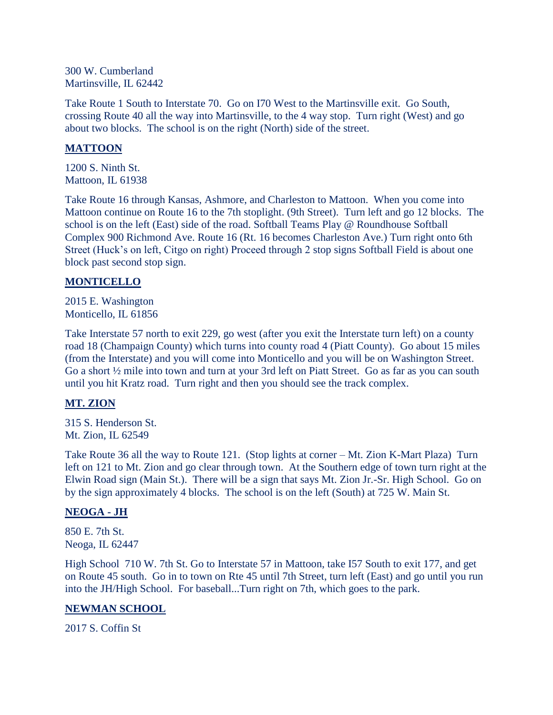300 W. Cumberland Martinsville, IL 62442

Take Route 1 South to Interstate 70. Go on I70 West to the Martinsville exit. Go South, crossing Route 40 all the way into Martinsville, to the 4 way stop. Turn right (West) and go about two blocks. The school is on the right (North) side of the street.

## **MATTOON**

1200 S. Ninth St. Mattoon, IL 61938

Take Route 16 through Kansas, Ashmore, and Charleston to Mattoon. When you come into Mattoon continue on Route 16 to the 7th stoplight. (9th Street). Turn left and go 12 blocks. The school is on the left (East) side of the road. Softball Teams Play @ Roundhouse Softball Complex 900 Richmond Ave. Route 16 (Rt. 16 becomes Charleston Ave.) Turn right onto 6th Street (Huck's on left, Citgo on right) Proceed through 2 stop signs Softball Field is about one block past second stop sign.

#### **MONTICELLO**

2015 E. Washington Monticello, IL 61856

Take Interstate 57 north to exit 229, go west (after you exit the Interstate turn left) on a county road 18 (Champaign County) which turns into county road 4 (Piatt County). Go about 15 miles (from the Interstate) and you will come into Monticello and you will be on Washington Street. Go a short ½ mile into town and turn at your 3rd left on Piatt Street. Go as far as you can south until you hit Kratz road. Turn right and then you should see the track complex.

# **MT. ZION**

315 S. Henderson St. Mt. Zion, IL 62549

Take Route 36 all the way to Route 121. (Stop lights at corner – Mt. Zion K-Mart Plaza) Turn left on 121 to Mt. Zion and go clear through town. At the Southern edge of town turn right at the Elwin Road sign (Main St.). There will be a sign that says Mt. Zion Jr.-Sr. High School. Go on by the sign approximately 4 blocks. The school is on the left (South) at 725 W. Main St.

#### **NEOGA - JH**

850 E. 7th St. Neoga, IL 62447

High School 710 W. 7th St. Go to Interstate 57 in Mattoon, take I57 South to exit 177, and get on Route 45 south. Go in to town on Rte 45 until 7th Street, turn left (East) and go until you run into the JH/High School. For baseball...Turn right on 7th, which goes to the park.

#### **NEWMAN SCHOOL**

2017 S. Coffin St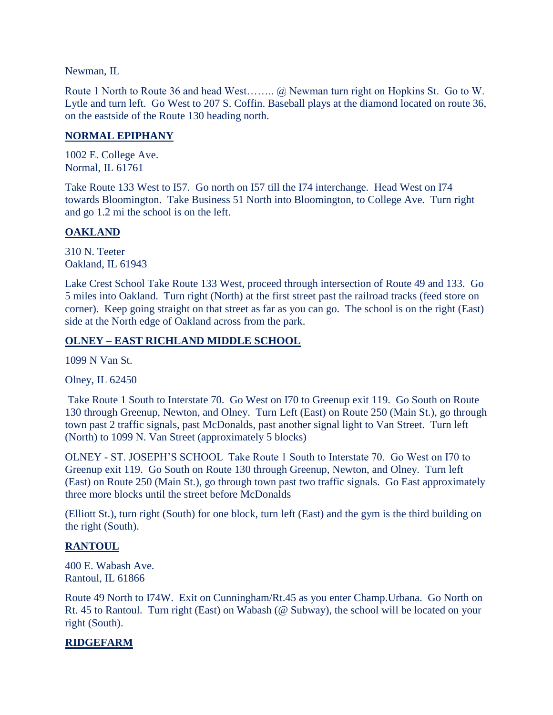Newman, IL

Route 1 North to Route 36 and head West…….. @ Newman turn right on Hopkins St. Go to W. Lytle and turn left. Go West to 207 S. Coffin. Baseball plays at the diamond located on route 36, on the eastside of the Route 130 heading north.

## **NORMAL EPIPHANY**

1002 E. College Ave. Normal, IL 61761

Take Route 133 West to I57. Go north on I57 till the I74 interchange. Head West on I74 towards Bloomington. Take Business 51 North into Bloomington, to College Ave. Turn right and go 1.2 mi the school is on the left.

# **OAKLAND**

310 N. Teeter Oakland, IL 61943

Lake Crest School Take Route 133 West, proceed through intersection of Route 49 and 133. Go 5 miles into Oakland. Turn right (North) at the first street past the railroad tracks (feed store on corner). Keep going straight on that street as far as you can go. The school is on the right (East) side at the North edge of Oakland across from the park.

## **OLNEY – EAST RICHLAND MIDDLE SCHOOL**

1099 N Van St.

Olney, IL 62450

Take Route 1 South to Interstate 70. Go West on I70 to Greenup exit 119. Go South on Route 130 through Greenup, Newton, and Olney. Turn Left (East) on Route 250 (Main St.), go through town past 2 traffic signals, past McDonalds, past another signal light to Van Street. Turn left (North) to 1099 N. Van Street (approximately 5 blocks)

OLNEY - ST. JOSEPH'S SCHOOL Take Route 1 South to Interstate 70. Go West on I70 to Greenup exit 119. Go South on Route 130 through Greenup, Newton, and Olney. Turn left (East) on Route 250 (Main St.), go through town past two traffic signals. Go East approximately three more blocks until the street before McDonalds

(Elliott St.), turn right (South) for one block, turn left (East) and the gym is the third building on the right (South).

# **RANTOUL**

400 E. Wabash Ave. Rantoul, IL 61866

Route 49 North to I74W. Exit on Cunningham/Rt.45 as you enter Champ.Urbana. Go North on Rt. 45 to Rantoul. Turn right (East) on Wabash (@ Subway), the school will be located on your right (South).

# **RIDGEFARM**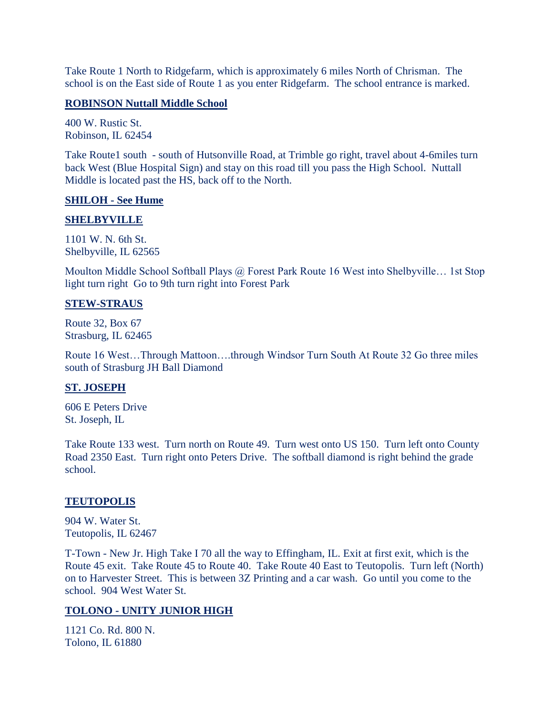Take Route 1 North to Ridgefarm, which is approximately 6 miles North of Chrisman. The school is on the East side of Route 1 as you enter Ridgefarm. The school entrance is marked.

#### **ROBINSON Nuttall Middle School**

400 W. Rustic St. Robinson, IL 62454

Take Route1 south - south of Hutsonville Road, at Trimble go right, travel about 4-6miles turn back West (Blue Hospital Sign) and stay on this road till you pass the High School. Nuttall Middle is located past the HS, back off to the North.

#### **SHILOH - See Hume**

#### **SHELBYVILLE**

1101 W. N. 6th St. Shelbyville, IL 62565

Moulton Middle School Softball Plays @ Forest Park Route 16 West into Shelbyville... 1st Stop light turn right Go to 9th turn right into Forest Park

#### **STEW-STRAUS**

Route 32, Box 67 Strasburg, IL 62465

Route 16 West…Through Mattoon….through Windsor Turn South At Route 32 Go three miles south of Strasburg JH Ball Diamond

#### **ST. JOSEPH**

606 E Peters Drive St. Joseph, IL

Take Route 133 west. Turn north on Route 49. Turn west onto US 150. Turn left onto County Road 2350 East. Turn right onto Peters Drive. The softball diamond is right behind the grade school.

# **TEUTOPOLIS**

904 W. Water St. Teutopolis, IL 62467

T-Town - New Jr. High Take I 70 all the way to Effingham, IL. Exit at first exit, which is the Route 45 exit. Take Route 45 to Route 40. Take Route 40 East to Teutopolis. Turn left (North) on to Harvester Street. This is between 3Z Printing and a car wash. Go until you come to the school. 904 West Water St.

# **TOLONO - UNITY JUNIOR HIGH**

1121 Co. Rd. 800 N. Tolono, IL 61880